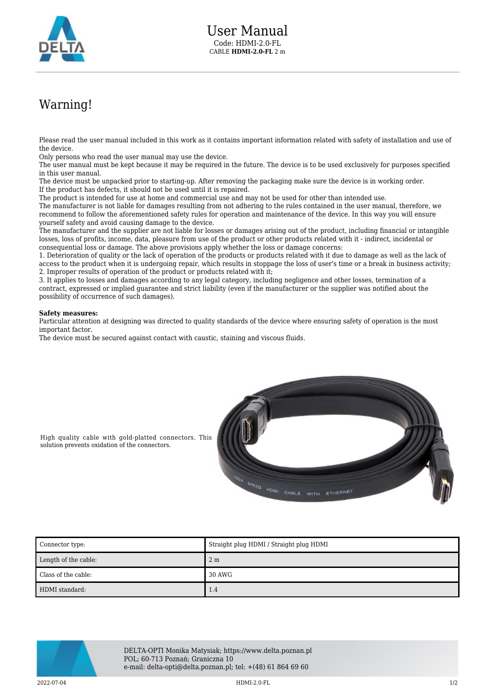

## Warning!

Please read the user manual included in this work as it contains important information related with safety of installation and use of the device.

Only persons who read the user manual may use the device.

The user manual must be kept because it may be required in the future. The device is to be used exclusively for purposes specified in this user manual.

The device must be unpacked prior to starting-up. After removing the packaging make sure the device is in working order. If the product has defects, it should not be used until it is repaired.

The product is intended for use at home and commercial use and may not be used for other than intended use.

The manufacturer is not liable for damages resulting from not adhering to the rules contained in the user manual, therefore, we recommend to follow the aforementioned safety rules for operation and maintenance of the device. In this way you will ensure yourself safety and avoid causing damage to the device.

The manufacturer and the supplier are not liable for losses or damages arising out of the product, including financial or intangible losses, loss of profits, income, data, pleasure from use of the product or other products related with it - indirect, incidental or consequential loss or damage. The above provisions apply whether the loss or damage concerns:

1. Deterioration of quality or the lack of operation of the products or products related with it due to damage as well as the lack of access to the product when it is undergoing repair, which results in stoppage the loss of user's time or a break in business activity; 2. Improper results of operation of the product or products related with it;

3. It applies to losses and damages according to any legal category, including negligence and other losses, termination of a contract, expressed or implied guarantee and strict liability (even if the manufacturer or the supplier was notified about the possibility of occurrence of such damages).

## **Safety measures:**

Particular attention at designing was directed to quality standards of the device where ensuring safety of operation is the most important factor.

The device must be secured against contact with caustic, staining and viscous fluids.



High quality cable with gold-platted connectors. This solution prevents oxidation of the connectors.

| Connector type:      | Straight plug HDMI / Straight plug HDMI |
|----------------------|-----------------------------------------|
| Length of the cable: | 2 <sub>m</sub>                          |
| Class of the cable:  | 30 AWG                                  |
| HDMI standard:       | 1.4                                     |



DELTA-OPTI Monika Matysiak; https://www.delta.poznan.pl POL; 60-713 Poznań; Graniczna 10 e-mail: delta-opti@delta.poznan.pl; tel: +(48) 61 864 69 60

2022-07-04 HDMI-2.0-FL 1/2